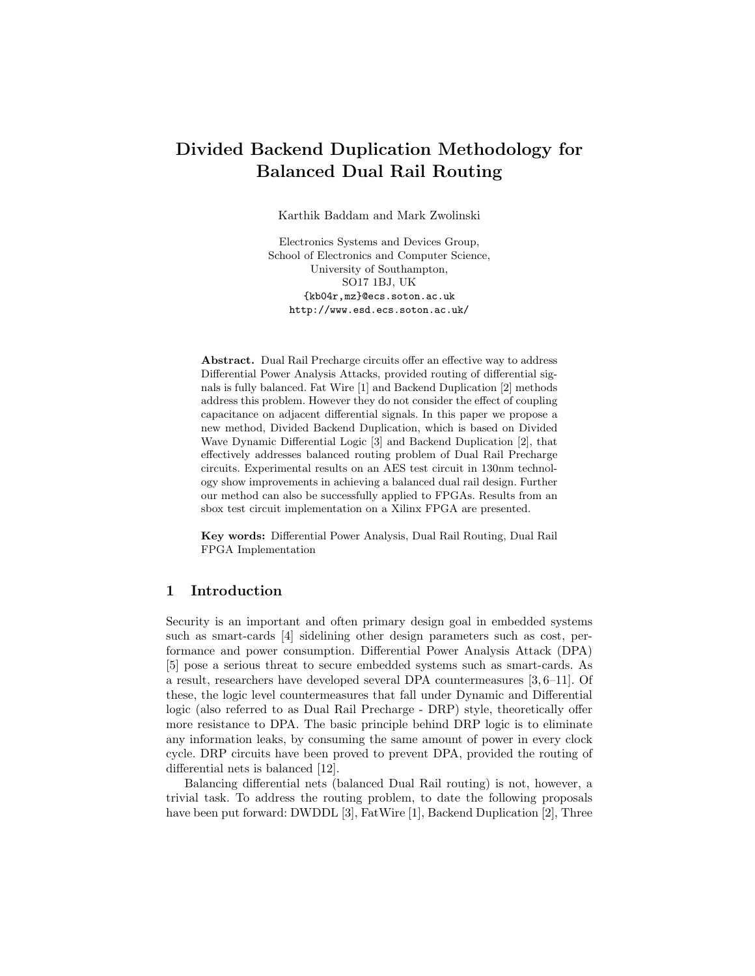# Divided Backend Duplication Methodology for Balanced Dual Rail Routing

Karthik Baddam and Mark Zwolinski

Electronics Systems and Devices Group, School of Electronics and Computer Science, University of Southampton, SO17 1BJ, UK {kb04r,mz}@ecs.soton.ac.uk http://www.esd.ecs.soton.ac.uk/

Abstract. Dual Rail Precharge circuits offer an effective way to address Differential Power Analysis Attacks, provided routing of differential signals is fully balanced. Fat Wire [1] and Backend Duplication [2] methods address this problem. However they do not consider the effect of coupling capacitance on adjacent differential signals. In this paper we propose a new method, Divided Backend Duplication, which is based on Divided Wave Dynamic Differential Logic [3] and Backend Duplication [2], that effectively addresses balanced routing problem of Dual Rail Precharge circuits. Experimental results on an AES test circuit in 130nm technology show improvements in achieving a balanced dual rail design. Further our method can also be successfully applied to FPGAs. Results from an sbox test circuit implementation on a Xilinx FPGA are presented.

Key words: Differential Power Analysis, Dual Rail Routing, Dual Rail FPGA Implementation

## 1 Introduction

Security is an important and often primary design goal in embedded systems such as smart-cards [4] sidelining other design parameters such as cost, performance and power consumption. Differential Power Analysis Attack (DPA) [5] pose a serious threat to secure embedded systems such as smart-cards. As a result, researchers have developed several DPA countermeasures [3, 6–11]. Of these, the logic level countermeasures that fall under Dynamic and Differential logic (also referred to as Dual Rail Precharge - DRP) style, theoretically offer more resistance to DPA. The basic principle behind DRP logic is to eliminate any information leaks, by consuming the same amount of power in every clock cycle. DRP circuits have been proved to prevent DPA, provided the routing of differential nets is balanced [12].

Balancing differential nets (balanced Dual Rail routing) is not, however, a trivial task. To address the routing problem, to date the following proposals have been put forward: DWDDL [3], FatWire [1], Backend Duplication [2], Three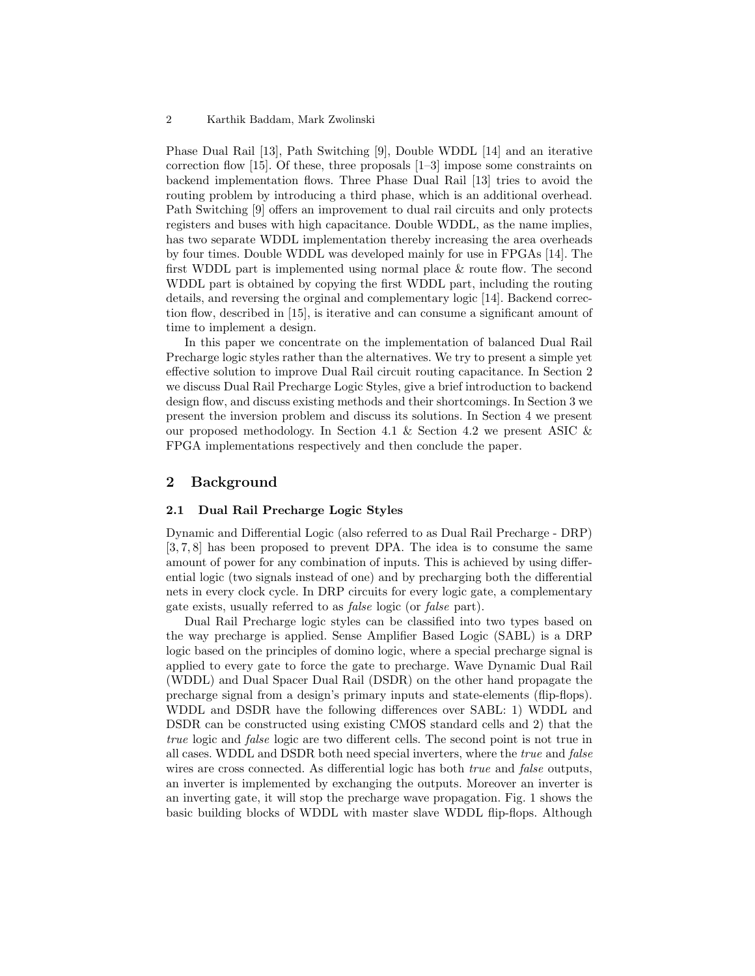Phase Dual Rail [13], Path Switching [9], Double WDDL [14] and an iterative correction flow [15]. Of these, three proposals [1–3] impose some constraints on backend implementation flows. Three Phase Dual Rail [13] tries to avoid the routing problem by introducing a third phase, which is an additional overhead. Path Switching [9] offers an improvement to dual rail circuits and only protects registers and buses with high capacitance. Double WDDL, as the name implies, has two separate WDDL implementation thereby increasing the area overheads by four times. Double WDDL was developed mainly for use in FPGAs [14]. The first WDDL part is implemented using normal place & route flow. The second WDDL part is obtained by copying the first WDDL part, including the routing details, and reversing the orginal and complementary logic [14]. Backend correction flow, described in [15], is iterative and can consume a significant amount of time to implement a design.

In this paper we concentrate on the implementation of balanced Dual Rail Precharge logic styles rather than the alternatives. We try to present a simple yet effective solution to improve Dual Rail circuit routing capacitance. In Section 2 we discuss Dual Rail Precharge Logic Styles, give a brief introduction to backend design flow, and discuss existing methods and their shortcomings. In Section 3 we present the inversion problem and discuss its solutions. In Section 4 we present our proposed methodology. In Section 4.1 & Section 4.2 we present ASIC & FPGA implementations respectively and then conclude the paper.

## 2 Background

### 2.1 Dual Rail Precharge Logic Styles

Dynamic and Differential Logic (also referred to as Dual Rail Precharge - DRP) [3, 7, 8] has been proposed to prevent DPA. The idea is to consume the same amount of power for any combination of inputs. This is achieved by using differential logic (two signals instead of one) and by precharging both the differential nets in every clock cycle. In DRP circuits for every logic gate, a complementary gate exists, usually referred to as false logic (or false part).

Dual Rail Precharge logic styles can be classified into two types based on the way precharge is applied. Sense Amplifier Based Logic (SABL) is a DRP logic based on the principles of domino logic, where a special precharge signal is applied to every gate to force the gate to precharge. Wave Dynamic Dual Rail (WDDL) and Dual Spacer Dual Rail (DSDR) on the other hand propagate the precharge signal from a design's primary inputs and state-elements (flip-flops). WDDL and DSDR have the following differences over SABL: 1) WDDL and DSDR can be constructed using existing CMOS standard cells and 2) that the true logic and false logic are two different cells. The second point is not true in all cases. WDDL and DSDR both need special inverters, where the true and false wires are cross connected. As differential logic has both *true* and *false* outputs, an inverter is implemented by exchanging the outputs. Moreover an inverter is an inverting gate, it will stop the precharge wave propagation. Fig. 1 shows the basic building blocks of WDDL with master slave WDDL flip-flops. Although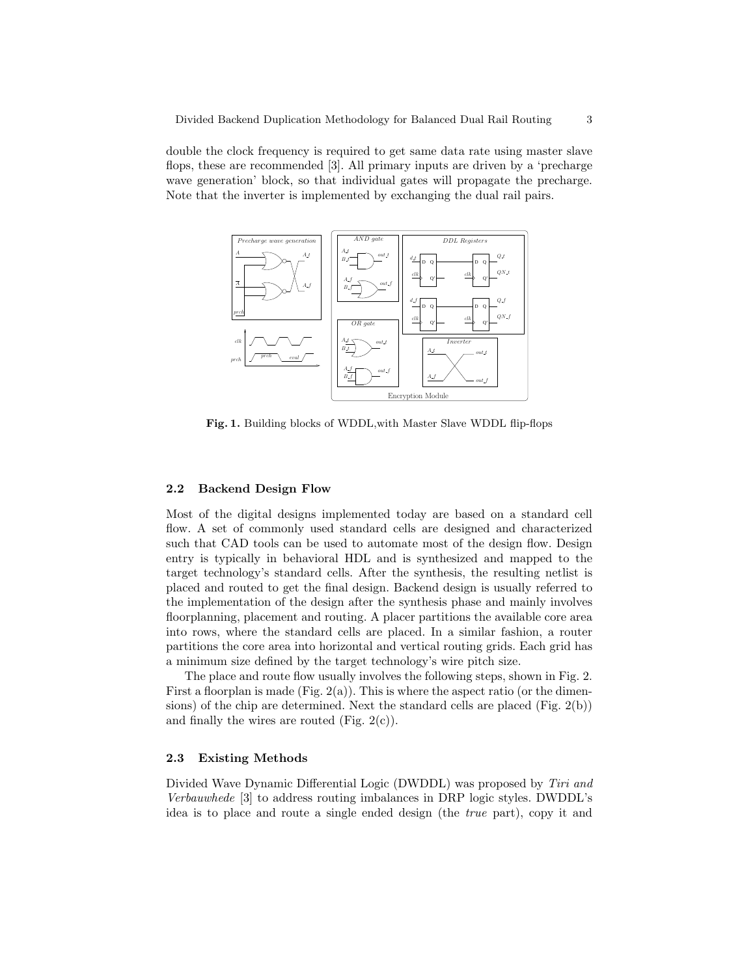double the clock frequency is required to get same data rate using master slave flops, these are recommended [3]. All primary inputs are driven by a 'precharge wave generation' block, so that individual gates will propagate the precharge. Note that the inverter is implemented by exchanging the dual rail pairs.



Fig. 1. Building blocks of WDDL,with Master Slave WDDL flip-flops

### 2.2 Backend Design Flow

Most of the digital designs implemented today are based on a standard cell flow. A set of commonly used standard cells are designed and characterized such that CAD tools can be used to automate most of the design flow. Design entry is typically in behavioral HDL and is synthesized and mapped to the target technology's standard cells. After the synthesis, the resulting netlist is placed and routed to get the final design. Backend design is usually referred to the implementation of the design after the synthesis phase and mainly involves floorplanning, placement and routing. A placer partitions the available core area into rows, where the standard cells are placed. In a similar fashion, a router partitions the core area into horizontal and vertical routing grids. Each grid has a minimum size defined by the target technology's wire pitch size.

The place and route flow usually involves the following steps, shown in Fig. 2. First a floorplan is made (Fig. 2(a)). This is where the aspect ratio (or the dimensions) of the chip are determined. Next the standard cells are placed (Fig. 2(b)) and finally the wires are routed (Fig.  $2(c)$ ).

### 2.3 Existing Methods

Divided Wave Dynamic Differential Logic (DWDDL) was proposed by Tiri and Verbauwhede [3] to address routing imbalances in DRP logic styles. DWDDL's idea is to place and route a single ended design (the true part), copy it and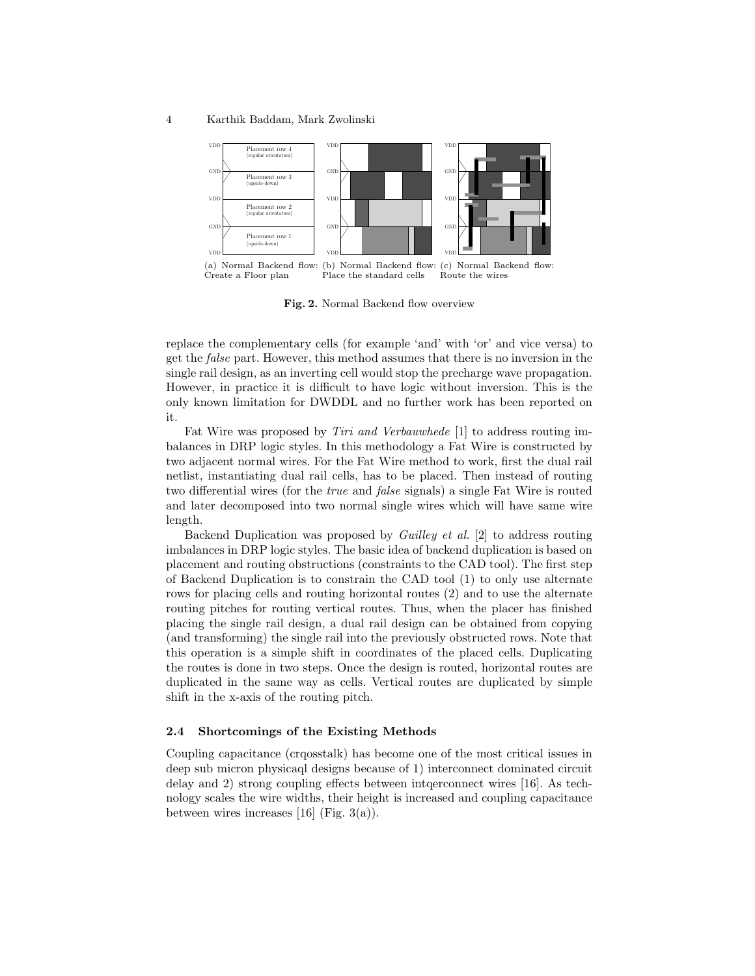

Create a Floor plan Place the standard cells Route the wires

Fig. 2. Normal Backend flow overview

replace the complementary cells (for example 'and' with 'or' and vice versa) to get the false part. However, this method assumes that there is no inversion in the single rail design, as an inverting cell would stop the precharge wave propagation. However, in practice it is difficult to have logic without inversion. This is the only known limitation for DWDDL and no further work has been reported on it.

Fat Wire was proposed by Tiri and Verbauwhede [1] to address routing imbalances in DRP logic styles. In this methodology a Fat Wire is constructed by two adjacent normal wires. For the Fat Wire method to work, first the dual rail netlist, instantiating dual rail cells, has to be placed. Then instead of routing two differential wires (for the true and false signals) a single Fat Wire is routed and later decomposed into two normal single wires which will have same wire length.

Backend Duplication was proposed by Guilley et al. [2] to address routing imbalances in DRP logic styles. The basic idea of backend duplication is based on placement and routing obstructions (constraints to the CAD tool). The first step of Backend Duplication is to constrain the CAD tool (1) to only use alternate rows for placing cells and routing horizontal routes (2) and to use the alternate routing pitches for routing vertical routes. Thus, when the placer has finished placing the single rail design, a dual rail design can be obtained from copying (and transforming) the single rail into the previously obstructed rows. Note that this operation is a simple shift in coordinates of the placed cells. Duplicating the routes is done in two steps. Once the design is routed, horizontal routes are duplicated in the same way as cells. Vertical routes are duplicated by simple shift in the x-axis of the routing pitch.

### 2.4 Shortcomings of the Existing Methods

Coupling capacitance (crqosstalk) has become one of the most critical issues in deep sub micron physicaql designs because of 1) interconnect dominated circuit delay and 2) strong coupling effects between intqerconnect wires [16]. As technology scales the wire widths, their height is increased and coupling capacitance between wires increases [16] (Fig. 3(a)).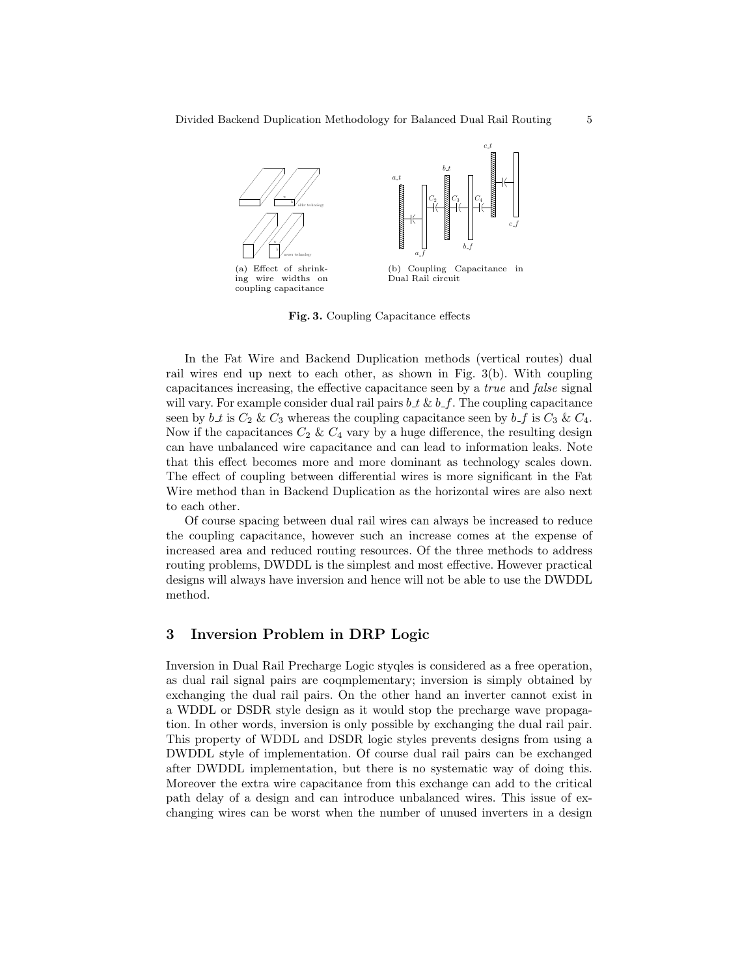

Fig. 3. Coupling Capacitance effects

In the Fat Wire and Backend Duplication methods (vertical routes) dual rail wires end up next to each other, as shown in Fig. 3(b). With coupling capacitances increasing, the effective capacitance seen by a true and false signal will vary. For example consider dual rail pairs  $b_t \& b_t f$ . The coupling capacitance seen by  $b_t$  is  $C_2 \& C_3$  whereas the coupling capacitance seen by  $b_t$  is  $C_3 \& C_4$ . Now if the capacitances  $C_2 \& C_4$  vary by a huge difference, the resulting design can have unbalanced wire capacitance and can lead to information leaks. Note that this effect becomes more and more dominant as technology scales down. The effect of coupling between differential wires is more significant in the Fat Wire method than in Backend Duplication as the horizontal wires are also next to each other.

Of course spacing between dual rail wires can always be increased to reduce the coupling capacitance, however such an increase comes at the expense of increased area and reduced routing resources. Of the three methods to address routing problems, DWDDL is the simplest and most effective. However practical designs will always have inversion and hence will not be able to use the DWDDL method.

# 3 Inversion Problem in DRP Logic

Inversion in Dual Rail Precharge Logic styqles is considered as a free operation, as dual rail signal pairs are coqmplementary; inversion is simply obtained by exchanging the dual rail pairs. On the other hand an inverter cannot exist in a WDDL or DSDR style design as it would stop the precharge wave propagation. In other words, inversion is only possible by exchanging the dual rail pair. This property of WDDL and DSDR logic styles prevents designs from using a DWDDL style of implementation. Of course dual rail pairs can be exchanged after DWDDL implementation, but there is no systematic way of doing this. Moreover the extra wire capacitance from this exchange can add to the critical path delay of a design and can introduce unbalanced wires. This issue of exchanging wires can be worst when the number of unused inverters in a design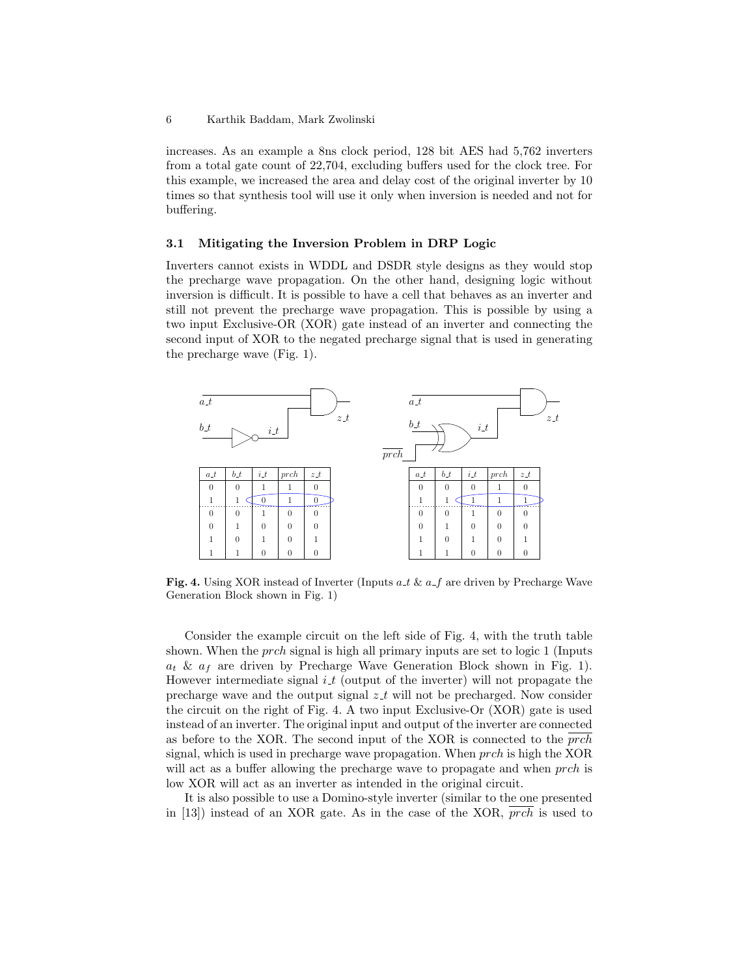increases. As an example a 8ns clock period, 128 bit AES had 5,762 inverters from a total gate count of 22,704, excluding buffers used for the clock tree. For this example, we increased the area and delay cost of the original inverter by 10 times so that synthesis tool will use it only when inversion is needed and not for buffering.

### 3.1 Mitigating the Inversion Problem in DRP Logic

Inverters cannot exists in WDDL and DSDR style designs as they would stop the precharge wave propagation. On the other hand, designing logic without inversion is difficult. It is possible to have a cell that behaves as an inverter and still not prevent the precharge wave propagation. This is possible by using a two input Exclusive-OR (XOR) gate instead of an inverter and connecting the second input of XOR to the negated precharge signal that is used in generating the precharge wave (Fig. 1).



Fig. 4. Using XOR instead of Inverter (Inputs  $a_t \& a_t$  are driven by Precharge Wave Generation Block shown in Fig. 1)

Consider the example circuit on the left side of Fig. 4, with the truth table shown. When the prch signal is high all primary inputs are set to logic 1 (Inputs  $a_t$  &  $a_f$  are driven by Precharge Wave Generation Block shown in Fig. 1). However intermediate signal  $i.t$  (output of the inverter) will not propagate the precharge wave and the output signal  $z_t$  will not be precharged. Now consider the circuit on the right of Fig. 4. A two input Exclusive-Or (XOR) gate is used instead of an inverter. The original input and output of the inverter are connected as before to the XOR. The second input of the XOR is connected to the  $\overline{prch}$ signal, which is used in precharge wave propagation. When prch is high the XOR will act as a buffer allowing the precharge wave to propagate and when *prch* is low XOR will act as an inverter as intended in the original circuit.

It is also possible to use a Domino-style inverter (similar to the one presented in  $[13]$ ) instead of an XOR gate. As in the case of the XOR, prch is used to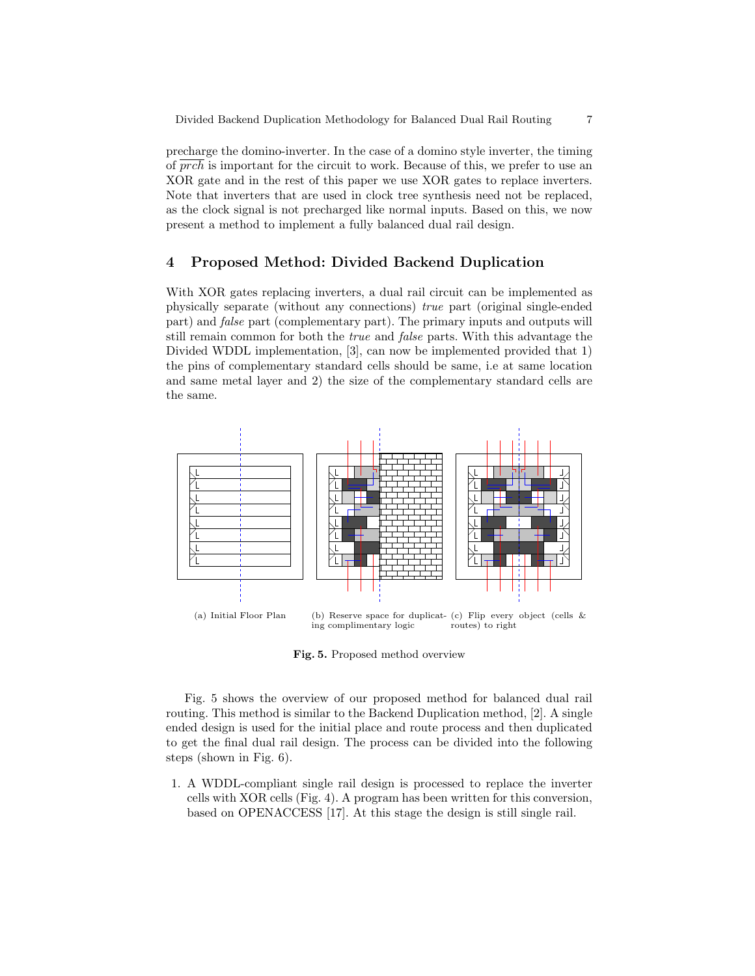precharge the domino-inverter. In the case of a domino style inverter, the timing of prch is important for the circuit to work. Because of this, we prefer to use an XOR gate and in the rest of this paper we use XOR gates to replace inverters. Note that inverters that are used in clock tree synthesis need not be replaced, as the clock signal is not precharged like normal inputs. Based on this, we now present a method to implement a fully balanced dual rail design.

# 4 Proposed Method: Divided Backend Duplication

With XOR gates replacing inverters, a dual rail circuit can be implemented as physically separate (without any connections) true part (original single-ended part) and false part (complementary part). The primary inputs and outputs will still remain common for both the true and false parts. With this advantage the Divided WDDL implementation, [3], can now be implemented provided that 1) the pins of complementary standard cells should be same, i.e at same location and same metal layer and 2) the size of the complementary standard cells are the same.



Fig. 5. Proposed method overview

Fig. 5 shows the overview of our proposed method for balanced dual rail routing. This method is similar to the Backend Duplication method, [2]. A single ended design is used for the initial place and route process and then duplicated to get the final dual rail design. The process can be divided into the following steps (shown in Fig. 6).

1. A WDDL-compliant single rail design is processed to replace the inverter cells with XOR cells (Fig. 4). A program has been written for this conversion, based on OPENACCESS [17]. At this stage the design is still single rail.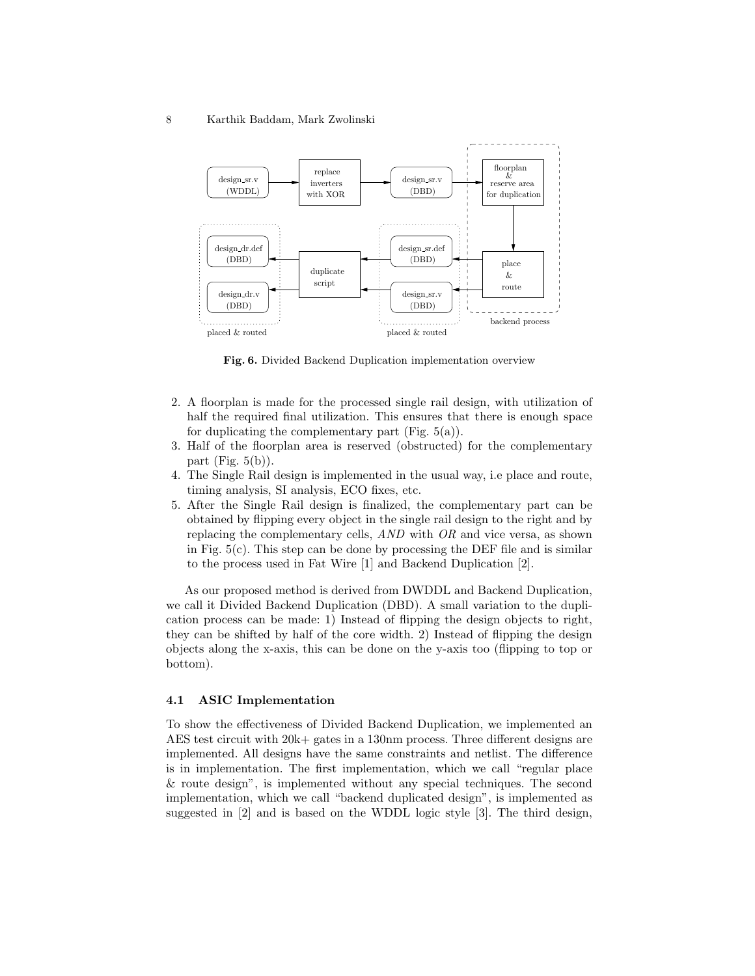

Fig. 6. Divided Backend Duplication implementation overview

- 2. A floorplan is made for the processed single rail design, with utilization of half the required final utilization. This ensures that there is enough space for duplicating the complementary part (Fig.  $5(a)$ ).
- 3. Half of the floorplan area is reserved (obstructed) for the complementary part (Fig.  $5(b)$ ).
- 4. The Single Rail design is implemented in the usual way, i.e place and route, timing analysis, SI analysis, ECO fixes, etc.
- 5. After the Single Rail design is finalized, the complementary part can be obtained by flipping every object in the single rail design to the right and by replacing the complementary cells, AND with OR and vice versa, as shown in Fig.  $5(c)$ . This step can be done by processing the DEF file and is similar to the process used in Fat Wire [1] and Backend Duplication [2].

As our proposed method is derived from DWDDL and Backend Duplication, we call it Divided Backend Duplication (DBD). A small variation to the duplication process can be made: 1) Instead of flipping the design objects to right, they can be shifted by half of the core width. 2) Instead of flipping the design objects along the x-axis, this can be done on the y-axis too (flipping to top or bottom).

### 4.1 ASIC Implementation

To show the effectiveness of Divided Backend Duplication, we implemented an AES test circuit with 20k+ gates in a 130nm process. Three different designs are implemented. All designs have the same constraints and netlist. The difference is in implementation. The first implementation, which we call "regular place & route design", is implemented without any special techniques. The second implementation, which we call "backend duplicated design", is implemented as suggested in [2] and is based on the WDDL logic style [3]. The third design,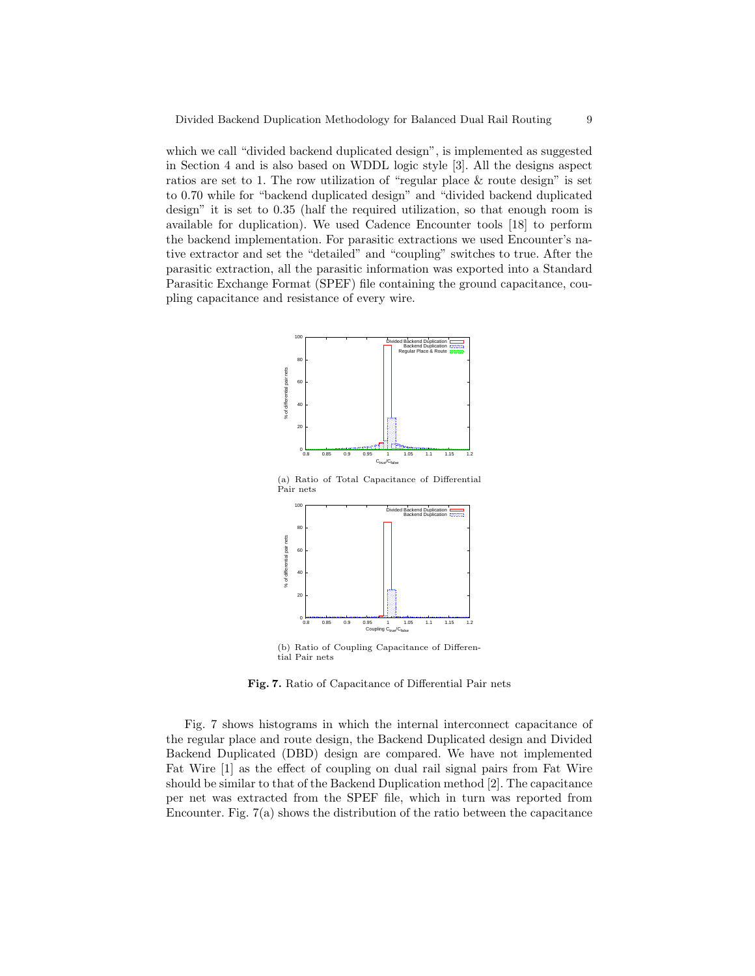which we call "divided backend duplicated design", is implemented as suggested in Section 4 and is also based on WDDL logic style [3]. All the designs aspect ratios are set to 1. The row utilization of "regular place & route design" is set to 0.70 while for "backend duplicated design" and "divided backend duplicated design" it is set to 0.35 (half the required utilization, so that enough room is available for duplication). We used Cadence Encounter tools [18] to perform the backend implementation. For parasitic extractions we used Encounter's native extractor and set the "detailed" and "coupling" switches to true. After the parasitic extraction, all the parasitic information was exported into a Standard Parasitic Exchange Format (SPEF) file containing the ground capacitance, coupling capacitance and resistance of every wire.



Fig. 7. Ratio of Capacitance of Differential Pair nets

Fig. 7 shows histograms in which the internal interconnect capacitance of the regular place and route design, the Backend Duplicated design and Divided Backend Duplicated (DBD) design are compared. We have not implemented Fat Wire [1] as the effect of coupling on dual rail signal pairs from Fat Wire should be similar to that of the Backend Duplication method [2]. The capacitance per net was extracted from the SPEF file, which in turn was reported from Encounter. Fig.  $7(a)$  shows the distribution of the ratio between the capacitance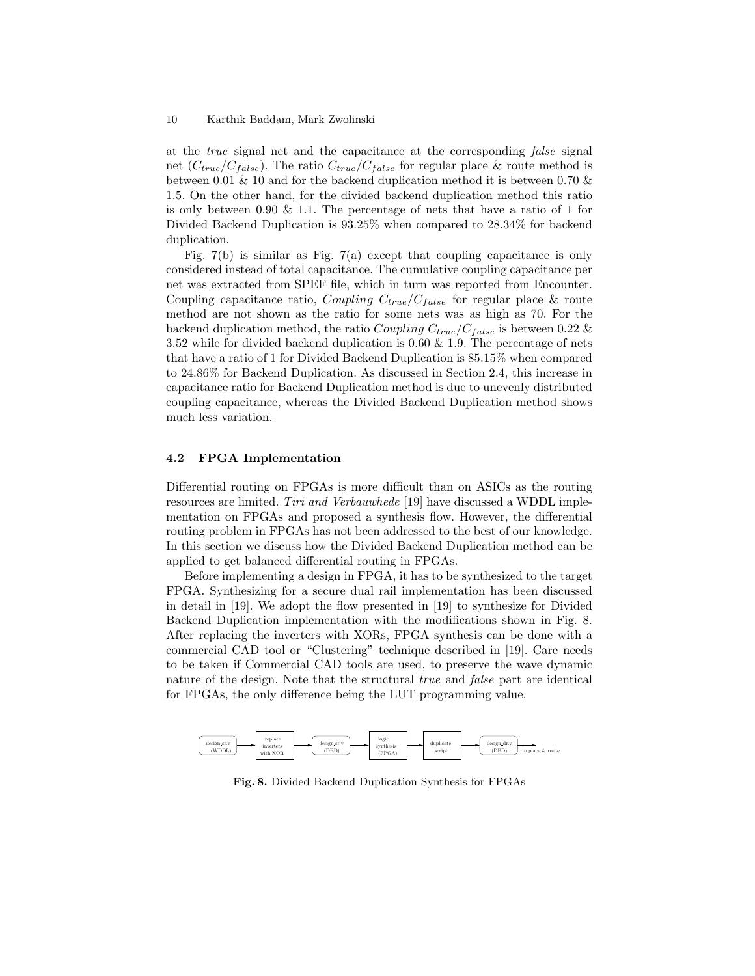at the true signal net and the capacitance at the corresponding false signal net  $(C_{true}/C_{false})$ . The ratio  $C_{true}/C_{false}$  for regular place & route method is between 0.01 & 10 and for the backend duplication method it is between 0.70 & 1.5. On the other hand, for the divided backend duplication method this ratio is only between 0.90  $\&$  1.1. The percentage of nets that have a ratio of 1 for Divided Backend Duplication is 93.25% when compared to 28.34% for backend duplication.

Fig.  $7(b)$  is similar as Fig.  $7(a)$  except that coupling capacitance is only considered instead of total capacitance. The cumulative coupling capacitance per net was extracted from SPEF file, which in turn was reported from Encounter. Coupling capacitance ratio, Coupling  $C_{true}/C_{false}$  for regular place & route method are not shown as the ratio for some nets was as high as 70. For the backend duplication method, the ratio Coupling  $C_{true}/C_{false}$  is between 0.22  $\&$ 3.52 while for divided backend duplication is 0.60  $\&$  1.9. The percentage of nets that have a ratio of 1 for Divided Backend Duplication is 85.15% when compared to 24.86% for Backend Duplication. As discussed in Section 2.4, this increase in capacitance ratio for Backend Duplication method is due to unevenly distributed coupling capacitance, whereas the Divided Backend Duplication method shows much less variation.

#### 4.2 FPGA Implementation

Differential routing on FPGAs is more difficult than on ASICs as the routing resources are limited. Tiri and Verbauwhede [19] have discussed a WDDL implementation on FPGAs and proposed a synthesis flow. However, the differential routing problem in FPGAs has not been addressed to the best of our knowledge. In this section we discuss how the Divided Backend Duplication method can be applied to get balanced differential routing in FPGAs.

Before implementing a design in FPGA, it has to be synthesized to the target FPGA. Synthesizing for a secure dual rail implementation has been discussed in detail in [19]. We adopt the flow presented in [19] to synthesize for Divided Backend Duplication implementation with the modifications shown in Fig. 8. After replacing the inverters with XORs, FPGA synthesis can be done with a commercial CAD tool or "Clustering" technique described in [19]. Care needs to be taken if Commercial CAD tools are used, to preserve the wave dynamic nature of the design. Note that the structural *true* and *false* part are identical for FPGAs, the only difference being the LUT programming value.



Fig. 8. Divided Backend Duplication Synthesis for FPGAs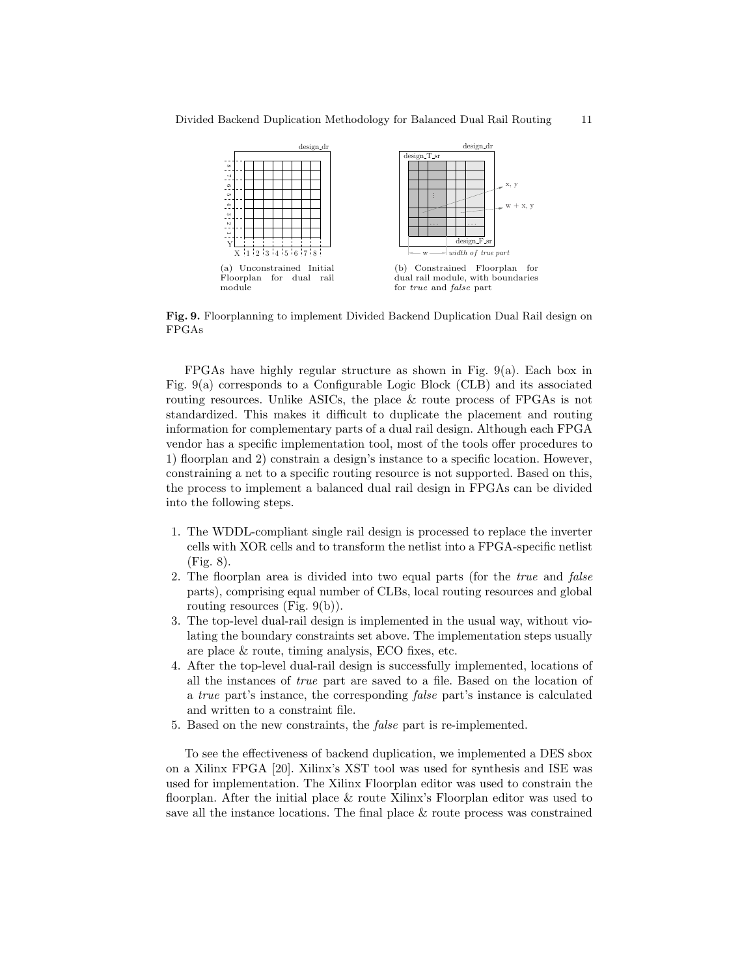

Fig. 9. Floorplanning to implement Divided Backend Duplication Dual Rail design on FPGAs

FPGAs have highly regular structure as shown in Fig. 9(a). Each box in Fig. 9(a) corresponds to a Configurable Logic Block (CLB) and its associated routing resources. Unlike ASICs, the place & route process of FPGAs is not standardized. This makes it difficult to duplicate the placement and routing information for complementary parts of a dual rail design. Although each FPGA vendor has a specific implementation tool, most of the tools offer procedures to 1) floorplan and 2) constrain a design's instance to a specific location. However, constraining a net to a specific routing resource is not supported. Based on this, the process to implement a balanced dual rail design in FPGAs can be divided into the following steps.

- 1. The WDDL-compliant single rail design is processed to replace the inverter cells with XOR cells and to transform the netlist into a FPGA-specific netlist (Fig. 8).
- 2. The floorplan area is divided into two equal parts (for the true and false parts), comprising equal number of CLBs, local routing resources and global routing resources (Fig. 9(b)).
- 3. The top-level dual-rail design is implemented in the usual way, without violating the boundary constraints set above. The implementation steps usually are place & route, timing analysis, ECO fixes, etc.
- 4. After the top-level dual-rail design is successfully implemented, locations of all the instances of true part are saved to a file. Based on the location of a true part's instance, the corresponding false part's instance is calculated and written to a constraint file.
- 5. Based on the new constraints, the false part is re-implemented.

To see the effectiveness of backend duplication, we implemented a DES sbox on a Xilinx FPGA [20]. Xilinx's XST tool was used for synthesis and ISE was used for implementation. The Xilinx Floorplan editor was used to constrain the floorplan. After the initial place & route Xilinx's Floorplan editor was used to save all the instance locations. The final place & route process was constrained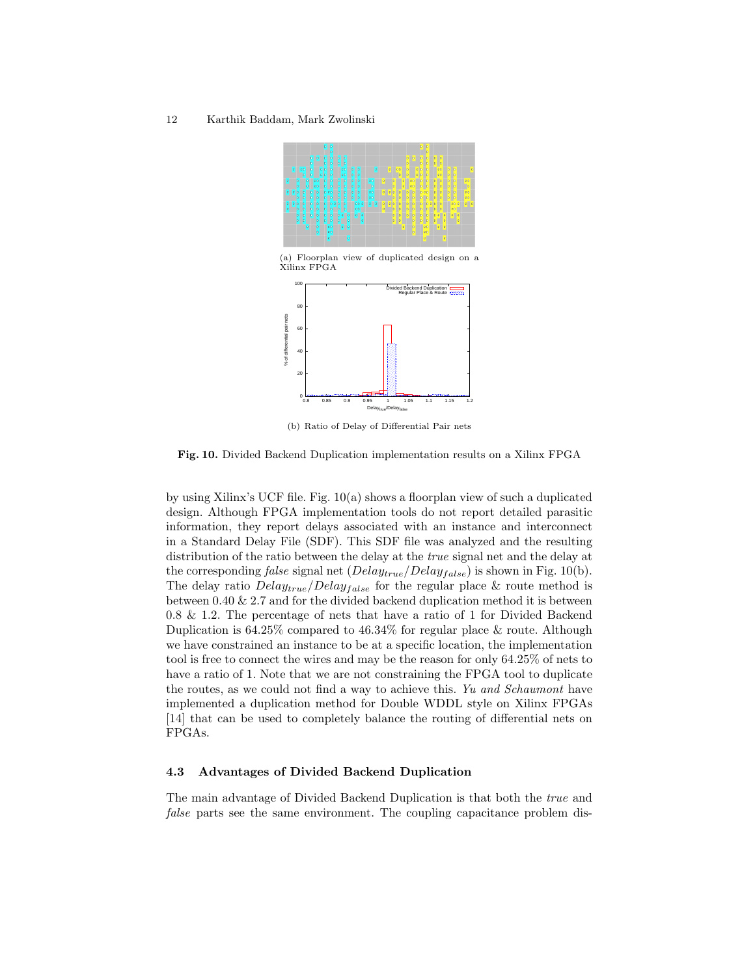12 Karthik Baddam, Mark Zwolinski



(a) Floorplan view of duplicated design on a Xilinx FPGA



(b) Ratio of Delay of Differential Pair nets

Fig. 10. Divided Backend Duplication implementation results on a Xilinx FPGA

by using Xilinx's UCF file. Fig.  $10(a)$  shows a floorplan view of such a duplicated design. Although FPGA implementation tools do not report detailed parasitic information, they report delays associated with an instance and interconnect in a Standard Delay File (SDF). This SDF file was analyzed and the resulting distribution of the ratio between the delay at the true signal net and the delay at the corresponding false signal net  $(Delay_{true}/Delay_{false})$  is shown in Fig. 10(b). The delay ratio  $Delay_{true}/Delay_{false}$  for the regular place & route method is between 0.40 & 2.7 and for the divided backend duplication method it is between 0.8 & 1.2. The percentage of nets that have a ratio of 1 for Divided Backend Duplication is 64.25% compared to 46.34% for regular place & route. Although we have constrained an instance to be at a specific location, the implementation tool is free to connect the wires and may be the reason for only 64.25% of nets to have a ratio of 1. Note that we are not constraining the FPGA tool to duplicate the routes, as we could not find a way to achieve this. Yu and Schaumont have implemented a duplication method for Double WDDL style on Xilinx FPGAs [14] that can be used to completely balance the routing of differential nets on FPGAs.

# 4.3 Advantages of Divided Backend Duplication

The main advantage of Divided Backend Duplication is that both the true and false parts see the same environment. The coupling capacitance problem dis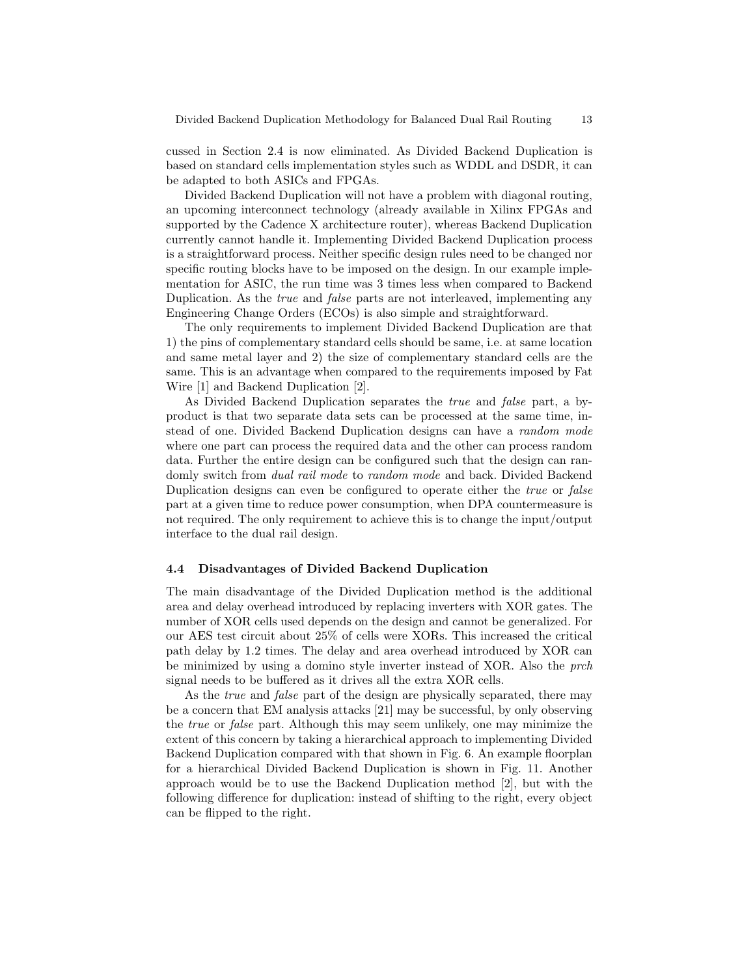cussed in Section 2.4 is now eliminated. As Divided Backend Duplication is based on standard cells implementation styles such as WDDL and DSDR, it can be adapted to both ASICs and FPGAs.

Divided Backend Duplication will not have a problem with diagonal routing, an upcoming interconnect technology (already available in Xilinx FPGAs and supported by the Cadence X architecture router), whereas Backend Duplication currently cannot handle it. Implementing Divided Backend Duplication process is a straightforward process. Neither specific design rules need to be changed nor specific routing blocks have to be imposed on the design. In our example implementation for ASIC, the run time was 3 times less when compared to Backend Duplication. As the true and false parts are not interleaved, implementing any Engineering Change Orders (ECOs) is also simple and straightforward.

The only requirements to implement Divided Backend Duplication are that 1) the pins of complementary standard cells should be same, i.e. at same location and same metal layer and 2) the size of complementary standard cells are the same. This is an advantage when compared to the requirements imposed by Fat Wire [1] and Backend Duplication [2].

As Divided Backend Duplication separates the true and false part, a byproduct is that two separate data sets can be processed at the same time, instead of one. Divided Backend Duplication designs can have a random mode where one part can process the required data and the other can process random data. Further the entire design can be configured such that the design can randomly switch from *dual rail mode* to *random mode* and back. Divided Backend Duplication designs can even be configured to operate either the true or false part at a given time to reduce power consumption, when DPA countermeasure is not required. The only requirement to achieve this is to change the input/output interface to the dual rail design.

### 4.4 Disadvantages of Divided Backend Duplication

The main disadvantage of the Divided Duplication method is the additional area and delay overhead introduced by replacing inverters with XOR gates. The number of XOR cells used depends on the design and cannot be generalized. For our AES test circuit about 25% of cells were XORs. This increased the critical path delay by 1.2 times. The delay and area overhead introduced by XOR can be minimized by using a domino style inverter instead of XOR. Also the prch signal needs to be buffered as it drives all the extra XOR cells.

As the true and false part of the design are physically separated, there may be a concern that EM analysis attacks [21] may be successful, by only observing the true or false part. Although this may seem unlikely, one may minimize the extent of this concern by taking a hierarchical approach to implementing Divided Backend Duplication compared with that shown in Fig. 6. An example floorplan for a hierarchical Divided Backend Duplication is shown in Fig. 11. Another approach would be to use the Backend Duplication method [2], but with the following difference for duplication: instead of shifting to the right, every object can be flipped to the right.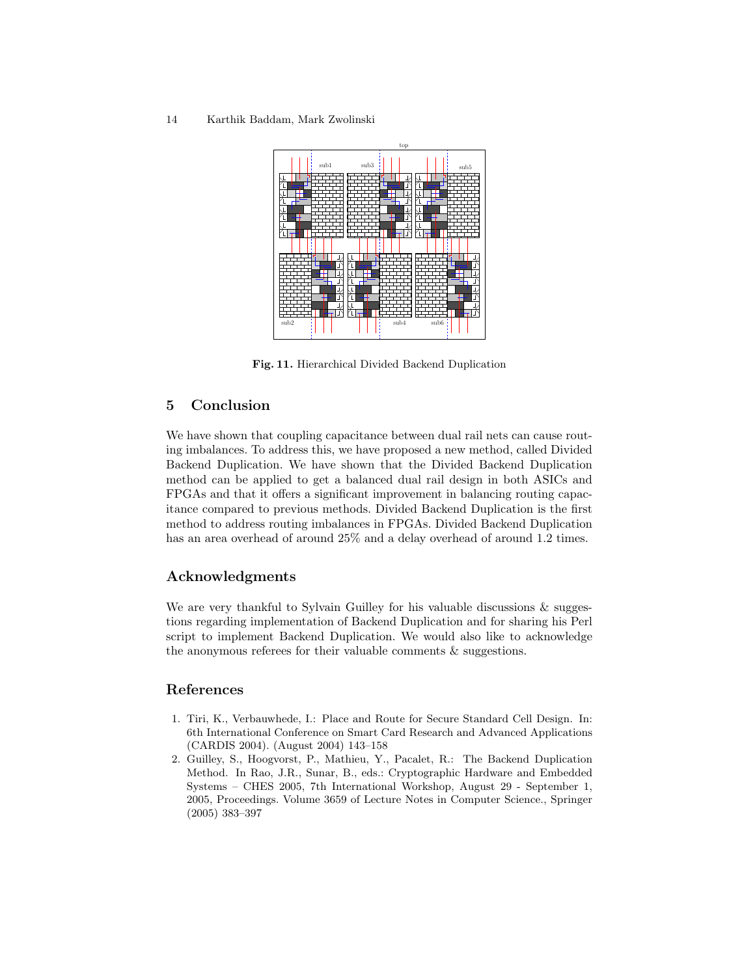

Fig. 11. Hierarchical Divided Backend Duplication

# 5 Conclusion

We have shown that coupling capacitance between dual rail nets can cause routing imbalances. To address this, we have proposed a new method, called Divided Backend Duplication. We have shown that the Divided Backend Duplication method can be applied to get a balanced dual rail design in both ASICs and FPGAs and that it offers a significant improvement in balancing routing capacitance compared to previous methods. Divided Backend Duplication is the first method to address routing imbalances in FPGAs. Divided Backend Duplication has an area overhead of around  $25\%$  and a delay overhead of around 1.2 times.

# Acknowledgments

We are very thankful to Sylvain Guilley for his valuable discussions & suggestions regarding implementation of Backend Duplication and for sharing his Perl script to implement Backend Duplication. We would also like to acknowledge the anonymous referees for their valuable comments & suggestions.

# References

- 1. Tiri, K., Verbauwhede, I.: Place and Route for Secure Standard Cell Design. In: 6th International Conference on Smart Card Research and Advanced Applications (CARDIS 2004). (August 2004) 143–158
- 2. Guilley, S., Hoogvorst, P., Mathieu, Y., Pacalet, R.: The Backend Duplication Method. In Rao, J.R., Sunar, B., eds.: Cryptographic Hardware and Embedded Systems – CHES 2005, 7th International Workshop, August 29 - September 1, 2005, Proceedings. Volume 3659 of Lecture Notes in Computer Science., Springer (2005) 383–397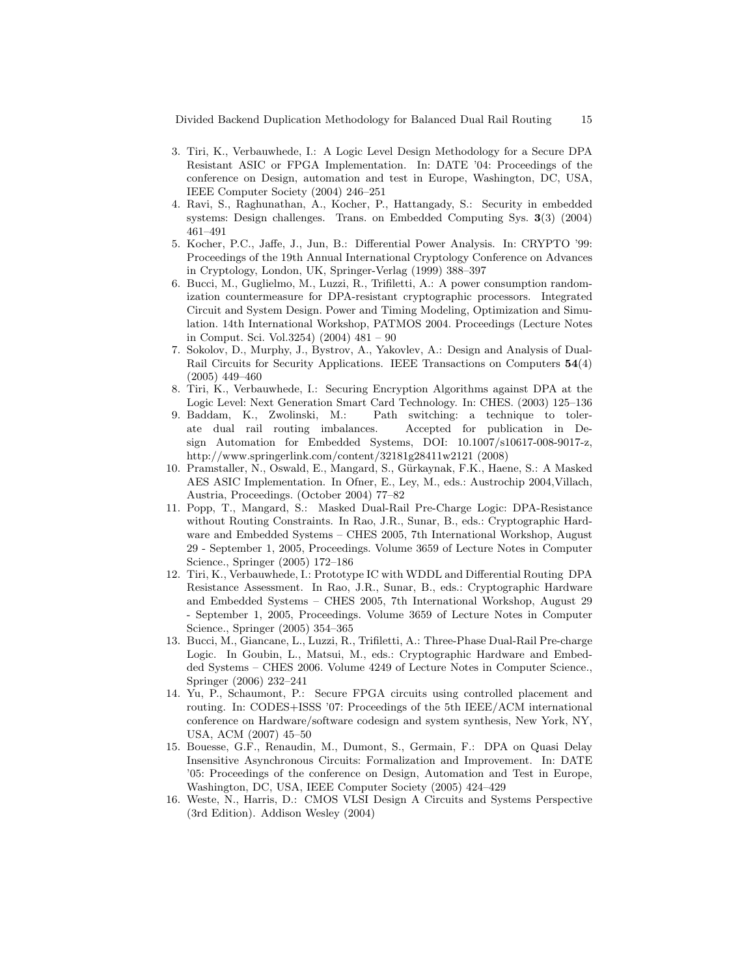Divided Backend Duplication Methodology for Balanced Dual Rail Routing 15

- 3. Tiri, K., Verbauwhede, I.: A Logic Level Design Methodology for a Secure DPA Resistant ASIC or FPGA Implementation. In: DATE '04: Proceedings of the conference on Design, automation and test in Europe, Washington, DC, USA, IEEE Computer Society (2004) 246–251
- 4. Ravi, S., Raghunathan, A., Kocher, P., Hattangady, S.: Security in embedded systems: Design challenges. Trans. on Embedded Computing Sys. 3(3) (2004) 461–491
- 5. Kocher, P.C., Jaffe, J., Jun, B.: Differential Power Analysis. In: CRYPTO '99: Proceedings of the 19th Annual International Cryptology Conference on Advances in Cryptology, London, UK, Springer-Verlag (1999) 388–397
- 6. Bucci, M., Guglielmo, M., Luzzi, R., Trifiletti, A.: A power consumption randomization countermeasure for DPA-resistant cryptographic processors. Integrated Circuit and System Design. Power and Timing Modeling, Optimization and Simulation. 14th International Workshop, PATMOS 2004. Proceedings (Lecture Notes in Comput. Sci. Vol.3254) (2004) 481 – 90
- 7. Sokolov, D., Murphy, J., Bystrov, A., Yakovlev, A.: Design and Analysis of Dual-Rail Circuits for Security Applications. IEEE Transactions on Computers 54(4) (2005) 449–460
- 8. Tiri, K., Verbauwhede, I.: Securing Encryption Algorithms against DPA at the Logic Level: Next Generation Smart Card Technology. In: CHES. (2003) 125–136
- 9. Baddam, K., Zwolinski, M.: Path switching: a technique to tolerate dual rail routing imbalances. Accepted for publication in Design Automation for Embedded Systems, DOI: 10.1007/s10617-008-9017-z, http://www.springerlink.com/content/32181g28411w2121 (2008)
- 10. Pramstaller, N., Oswald, E., Mangard, S., G¨urkaynak, F.K., Haene, S.: A Masked AES ASIC Implementation. In Ofner, E., Ley, M., eds.: Austrochip 2004,Villach, Austria, Proceedings. (October 2004) 77–82
- 11. Popp, T., Mangard, S.: Masked Dual-Rail Pre-Charge Logic: DPA-Resistance without Routing Constraints. In Rao, J.R., Sunar, B., eds.: Cryptographic Hardware and Embedded Systems – CHES 2005, 7th International Workshop, August 29 - September 1, 2005, Proceedings. Volume 3659 of Lecture Notes in Computer Science., Springer (2005) 172–186
- 12. Tiri, K., Verbauwhede, I.: Prototype IC with WDDL and Differential Routing DPA Resistance Assessment. In Rao, J.R., Sunar, B., eds.: Cryptographic Hardware and Embedded Systems – CHES 2005, 7th International Workshop, August 29 - September 1, 2005, Proceedings. Volume 3659 of Lecture Notes in Computer Science., Springer (2005) 354–365
- 13. Bucci, M., Giancane, L., Luzzi, R., Trifiletti, A.: Three-Phase Dual-Rail Pre-charge Logic. In Goubin, L., Matsui, M., eds.: Cryptographic Hardware and Embedded Systems – CHES 2006. Volume 4249 of Lecture Notes in Computer Science., Springer (2006) 232–241
- 14. Yu, P., Schaumont, P.: Secure FPGA circuits using controlled placement and routing. In: CODES+ISSS '07: Proceedings of the 5th IEEE/ACM international conference on Hardware/software codesign and system synthesis, New York, NY, USA, ACM (2007) 45–50
- 15. Bouesse, G.F., Renaudin, M., Dumont, S., Germain, F.: DPA on Quasi Delay Insensitive Asynchronous Circuits: Formalization and Improvement. In: DATE '05: Proceedings of the conference on Design, Automation and Test in Europe, Washington, DC, USA, IEEE Computer Society (2005) 424–429
- 16. Weste, N., Harris, D.: CMOS VLSI Design A Circuits and Systems Perspective (3rd Edition). Addison Wesley (2004)